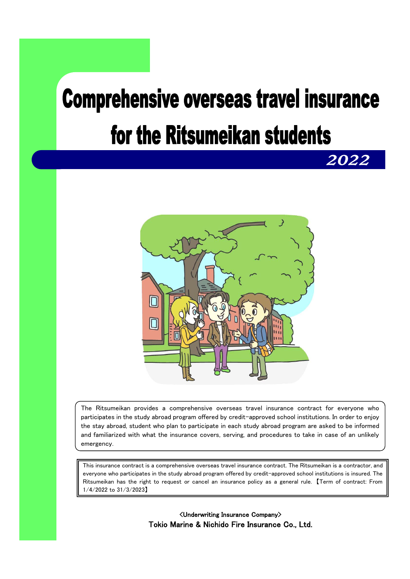# **Comprehensive overseas travel insurance** for the Ritsumeikan students

*2022* 



The Ritsumeikan provides a comprehensive overseas travel insurance contract for everyone who participates in the study abroad program offered by credit-approved school institutions. In order to enjoy the stay abroad, student who plan to participate in each study abroad program are asked to be informed and familiarized with what the insurance covers, serving, and procedures to take in case of an unlikely emergency.

This insurance contract is a comprehensive overseas travel insurance contract. The Ritsumeikan is a contractor, and everyone who participates in the study abroad program offered by credit-approved school institutions is insured. The Ritsumeikan has the right to request or cancel an insurance policy as a general rule. 【Term of contract: From 1/4/2022 to 31/3/2023】

> <Underwriting Insurance Company> Tokio Marine & Nichido Fire Insurance Co., Ltd.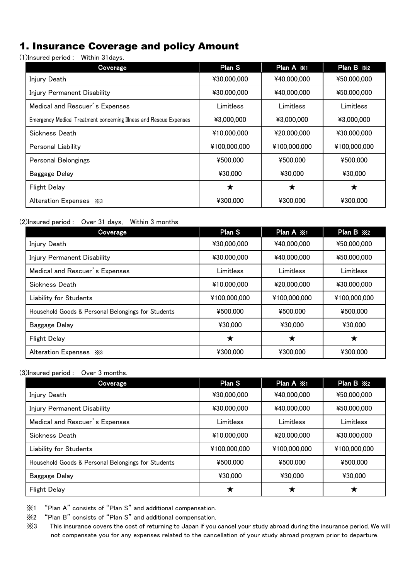### 1. Insurance Coverage and policy Amount

(1)Insured period : Within 31days.

| Coverage                                                           | Plan S       | Plan A ※1    | Plan B ※2    |
|--------------------------------------------------------------------|--------------|--------------|--------------|
| Injury Death                                                       | ¥30,000,000  | ¥40,000,000  | ¥50,000,000  |
| Injury Permanent Disability                                        | ¥30,000,000  | ¥40,000,000  | ¥50,000,000  |
| Medical and Rescuer's Expenses                                     | Limitless    | Limitless    | Limitless    |
| Emergency Medical Treatment concerning Illness and Rescue Expenses | ¥3,000,000   | ¥3,000,000   | ¥3,000,000   |
| Sickness Death                                                     | ¥10,000,000  | ¥20,000,000  | ¥30,000,000  |
| Personal Liability                                                 | ¥100,000,000 | ¥100,000,000 | ¥100,000,000 |
| Personal Belongings                                                | ¥500,000     | ¥500,000     | ¥500,000     |
| <b>Baggage Delay</b>                                               | ¥30,000      | ¥30,000      | ¥30,000      |
| <b>Flight Delay</b>                                                | ★            | ★            | ★            |
| Alteration Expenses $\frac{1}{2}$ 3                                | ¥300,000     | ¥300,000     | ¥300,000     |

(2)Insured period : Over 31 days, Within 3 months

| Coverage                                           | Plan S       | Plan A ※1    | Plan B ※2    |
|----------------------------------------------------|--------------|--------------|--------------|
| Injury Death                                       | ¥30,000,000  | ¥40,000,000  | ¥50,000,000  |
| Injury Permanent Disability                        | ¥30,000,000  | ¥40,000,000  | ¥50,000,000  |
| Medical and Rescuer's Expenses                     | Limitless    | Limitless    | Limitless    |
| Sickness Death                                     | ¥10,000,000  | ¥20,000,000  | ¥30,000,000  |
| <b>Liability for Students</b>                      | ¥100,000,000 | ¥100,000,000 | ¥100,000,000 |
| Household Goods & Personal Belongings for Students | ¥500,000     | ¥500.000     | ¥500,000     |
| Baggage Delay                                      | ¥30,000      | ¥30,000      | ¥30,000      |
| <b>Flight Delay</b>                                | ★            | ★            | ★            |
| Alteration Expenses $\frac{1}{2}$ 3                | ¥300,000     | ¥300.000     | ¥300,000     |

(3)Insured period : Over 3 months.

| Coverage                                           | <b>Plan S</b> | Plan A ※1    | Plan B ※2    |
|----------------------------------------------------|---------------|--------------|--------------|
| Injury Death                                       | ¥30,000,000   | ¥40,000,000  | ¥50,000,000  |
| Injury Permanent Disability                        | ¥30,000,000   | ¥40,000,000  | ¥50,000,000  |
| Medical and Rescuer's Expenses                     | Limitless     | Limitless    | Limitless    |
| Sickness Death                                     | ¥10,000,000   | ¥20,000,000  | ¥30,000,000  |
| <b>Liability for Students</b>                      | ¥100,000,000  | ¥100,000,000 | ¥100,000,000 |
| Household Goods & Personal Belongings for Students | ¥500,000      | ¥500,000     | ¥500,000     |
| <b>Baggage Delay</b>                               | ¥30,000       | ¥30,000      | ¥30,000      |
| <b>Flight Delay</b>                                |               |              |              |

※1 "Plan A" consists of "Plan S" and additional compensation.

※2 "Plan B" consists of "Plan S" and additional compensation.

※3 This insurance covers the cost of returning to Japan if you cancel your study abroad during the insurance period. We will not compensate you for any expenses related to the cancellation of your study abroad program prior to departure.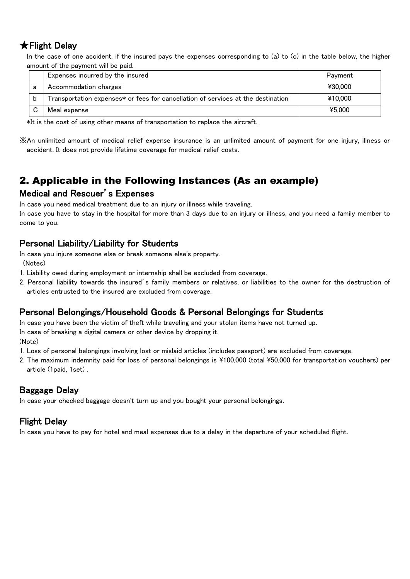### ★Flight Delay

In the case of one accident, if the insured pays the expenses corresponding to (a) to (c) in the table below, the higher amount of the payment will be paid.

|   | Expenses incurred by the insured                                                 | Payment |
|---|----------------------------------------------------------------------------------|---------|
| а | Accommodation charges                                                            | ¥30,000 |
|   | Transportation expenses* or fees for cancellation of services at the destination | ¥10.000 |
|   | Meal expense                                                                     | ¥5.000  |

\*It is the cost of using other means of transportation to replace the aircraft.

※An unlimited amount of medical relief expense insurance is an unlimited amount of payment for one injury, illness or accident. It does not provide lifetime coverage for medical relief costs.

### 2. Applicable in the Following Instances (As an example)

### Medical and Rescuer's Expenses

In case you need medical treatment due to an injury or illness while traveling.

In case you have to stay in the hospital for more than 3 days due to an injury or illness, and you need a family member to come to you.

### Personal Liability/Liability for Students

In case you injure someone else or break someone else's property. (Notes)

- 1. Liability owed during employment or internship shall be excluded from coverage.
- 2. Personal liability towards the insured's family members or relatives, or liabilities to the owner for the destruction of articles entrusted to the insured are excluded from coverage.

### Personal Belongings/Household Goods & Personal Belongings for Students

In case you have been the victim of theft while traveling and your stolen items have not turned up.

In case of breaking a digital camera or other device by dropping it.

(Note)

- 1. Loss of personal belongings involving lost or mislaid articles (includes passport) are excluded from coverage.
- 2. The maximum indemnity paid for loss of personal belongings is ¥100,000 (total ¥50,000 for transportation vouchers) per article (1paid, 1set) .

### Baggage Delay

In case your checked baggage doesn't turn up and you bought your personal belongings.

### Flight Delay

In case you have to pay for hotel and meal expenses due to a delay in the departure of your scheduled flight.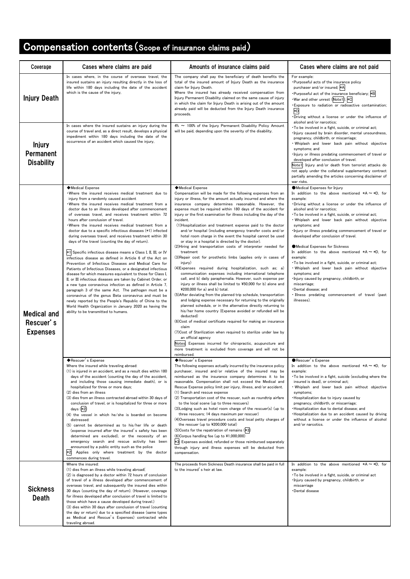## Compensation contents(Scope of insurance claims paid)

| Coverage                                           | Cases where claims are paid                                                                                                                                                                                                                                                                                                                                                                                                                                                                                                                                                                                                                                                                                                                                                                                                                                                                                                                                                                                                                                                                                                                                                                                                                                                                           | Amounts of insurance claims paid                                                                                                                                                                                                                                                                                                                                                                                                                                                                                                                                                                                                                                                                                                                                                                                                                                                                                                                                                                                                                                                                                                                                                                                                                                                                                                                                                                                                                                                                                                                                                                                                                                                | Cases where claims are not paid                                                                                                                                                                                                                                                                                                                                                                                                                                                                                                                                                                                                                                                                                                                                                                                             |
|----------------------------------------------------|-------------------------------------------------------------------------------------------------------------------------------------------------------------------------------------------------------------------------------------------------------------------------------------------------------------------------------------------------------------------------------------------------------------------------------------------------------------------------------------------------------------------------------------------------------------------------------------------------------------------------------------------------------------------------------------------------------------------------------------------------------------------------------------------------------------------------------------------------------------------------------------------------------------------------------------------------------------------------------------------------------------------------------------------------------------------------------------------------------------------------------------------------------------------------------------------------------------------------------------------------------------------------------------------------------|---------------------------------------------------------------------------------------------------------------------------------------------------------------------------------------------------------------------------------------------------------------------------------------------------------------------------------------------------------------------------------------------------------------------------------------------------------------------------------------------------------------------------------------------------------------------------------------------------------------------------------------------------------------------------------------------------------------------------------------------------------------------------------------------------------------------------------------------------------------------------------------------------------------------------------------------------------------------------------------------------------------------------------------------------------------------------------------------------------------------------------------------------------------------------------------------------------------------------------------------------------------------------------------------------------------------------------------------------------------------------------------------------------------------------------------------------------------------------------------------------------------------------------------------------------------------------------------------------------------------------------------------------------------------------------|-----------------------------------------------------------------------------------------------------------------------------------------------------------------------------------------------------------------------------------------------------------------------------------------------------------------------------------------------------------------------------------------------------------------------------------------------------------------------------------------------------------------------------------------------------------------------------------------------------------------------------------------------------------------------------------------------------------------------------------------------------------------------------------------------------------------------------|
| <b>Injury Death</b>                                | In cases where, in the course of overseas travel, the<br>insured sustains an injury resulting directly in the loss of<br>life within 180 days including the date of the accident<br>which is the cause of the injury,                                                                                                                                                                                                                                                                                                                                                                                                                                                                                                                                                                                                                                                                                                                                                                                                                                                                                                                                                                                                                                                                                 | The company shall pay the beneficiary of death benefits the<br>total of the insured amount of Injury Death as the insurance<br>claim for Injury Death.<br>Where the insured has already received compensation from<br>Injury Permanent Disability claimed on the same cause of injury<br>in which the claim for Injury Death is arising out of the amount<br>already paid will be deducted from the Injury Death insurance<br>proceeds.                                                                                                                                                                                                                                                                                                                                                                                                                                                                                                                                                                                                                                                                                                                                                                                                                                                                                                                                                                                                                                                                                                                                                                                                                                         | For example:<br>. Purposeful acts of the insurance policy<br>purchaser and/or insured; *A<br>. Purposeful act of the insurance beneficiary; *B<br>•War and other unrest (Note1); *C<br>. Exposure to radiation or radioactive contamination;<br>*D<br>. Driving without a license or under the influence of<br>alcohol and/or narcotics;                                                                                                                                                                                                                                                                                                                                                                                                                                                                                    |
| <b>Injury</b><br>Permanent<br><b>Disability</b>    | In cases where the insured sustains an injury during the<br>course of travel and, as a direct result, develops a physical<br>impediment within 180 days including the date of the<br>occurrence of an accident which caused the injury,                                                                                                                                                                                                                                                                                                                                                                                                                                                                                                                                                                                                                                                                                                                                                                                                                                                                                                                                                                                                                                                               | $4\% \sim 100\%$ of the Injury Permanent Disability Policy Amount<br>will be paid, depending upon the severity of the disability.                                                                                                                                                                                                                                                                                                                                                                                                                                                                                                                                                                                                                                                                                                                                                                                                                                                                                                                                                                                                                                                                                                                                                                                                                                                                                                                                                                                                                                                                                                                                               | • To be involved in a fight, suicide, or criminal act;<br>. Injury caused by brain disorder, mental unsoundness,<br>pregnancy, childbirth, or miscarriage;<br>. Whiplash and lower back pain without objective<br>symptoms; and<br>. Injury or illness predating commencement of travel or<br>developed after conclusion of travel.<br>Note1: Injury and/or death from terrorist attacks do<br>not apply under the collateral supplementary contract<br>partially amending the articles concerning disclaimer of<br>war risks.                                                                                                                                                                                                                                                                                              |
| <b>Medical and</b><br>Rescuer's<br><b>Expenses</b> | ◆Medical Expense<br>Where the insured receives medical treatment due to<br>injury from a randomly caused accident<br>Where the insured receives medical treatment from a<br>doctor due to an illness developed after commencement<br>of overseas travel, and receives treatment within 72<br>hours after conclusion of travel.<br>Where the insured receives medical treatment from a<br>doctor due to a specific infectious diseases (*1) infected<br>during overseas travel, and receives treatment within 30<br>days of the travel (counting the day of return).<br>*1 Specific infectious disease means a Class I, II, III, or IV<br>infectious disease as defined in Article 6 of the Act on<br>Prevention of Infectious Diseases and Medical Care for<br>Patients of Infectious Diseases, or a designated infectious<br>disease for which measures equivalent to those for Class I,<br>II, or III infectious diseases are taken by Cabinet Order, or<br>a new type coronavirus infection as defined in Article 7,<br>paragraph 3 of the same Act. The pathogen must be a<br>coronavirus of the genus Beta coronavirus and must be<br>newly reported by the People's Republic of China to the<br>World Health Organization in January 2020 as having the<br>ability to be transmitted to humans. | ◆Medical Expense<br>Compensation will be made for the following expenses from an<br>injury or illness, for the amount actually incurred and where the<br>insurance company determines reasonable. However, the<br>expense must be required within 180 days of the accident for<br>injury or the first examination for illness including the day of the<br>incident.<br>(1) Hospitalization and treatment expense paid to the doctor<br>and/or hospital (including emergency transfer costs and/or<br>hotel room charge in the event the hospital cannot be used<br>or stay in a hospital is directed by the doctor).<br>(2) Hiring and transportation costs of interpreter needed for<br>treatment<br>(3) Repair cost for prosthetic limbs (applies only in cases of<br>injury)<br>(4) Expenses required during hospitalization, such as; a)<br>communication expenses including international telephone<br>call, and b) daily paraphernalia. However, such expense per<br>injury or illness shall be limited to ¥50,000 for b) alone and<br>$4200,000$ for a) and b) total.<br>(5) After deviating from the planned trip schedule, transportation<br>and lodging expense necessary for returning to the originally<br>planned schedule, or in the alternative directly returning to<br>his/her home country (Expense avoided or refunded will be<br>deducted)<br>(6) Cost of medical certificate required for making an insurance<br>claim<br>(7) Cost of Sterilization when required to sterilize under law by<br>an official agency<br>Notest Expenses incurred for chiropractic, acupuncture and<br>more treatment is excluded from coverage and will not be<br>reimbursed. | ●Medical Expenses for Injury<br>In addition to the above mentioned $*A \sim *D$ , for<br>example:<br>. Driving without a license or under the influence of<br>alcohol and/or narcotics;<br>. To be involved in a fight, suicide, or criminal act;<br>. Whiplash and lower back pain without objective<br>symptoms; and<br>. Injury or illness predating commencement of travel or<br>developed after conclusion of travel.<br>●Medical Expenses for Sickness<br>In addition to the above mentioned $*A \sim *D$ , for<br>example:<br>· To be involved in a fight, suicide, or criminal act;<br>. Whiplash and lower back pain without objective<br>symptoms; and<br>· Injury caused by pregnancy, childbirth, or<br>miscarriage;<br>•Dental disease; and<br>· Illness predating commencement of travel (past<br>illnesses). |
|                                                    | ◆Rescuer's Expense<br>Where the insured while traveling abroad:<br>(1) is injured in an accident, and as a result dies within 180<br>days of the accident (counting the day of the accident,<br>and including those causing immediate death), or is<br>hospitalized for three or more days;<br>(2) dies from an illness<br>(3) dies from an illness contracted abroad within 30 days of<br>conclusion of travel, or is hospitalized for three or more<br>days (*2)<br>(4) the vessel in which he/she is boarded on become<br>distressed:<br>(5) cannot be determined as to his/her life or death<br>(expense incurred after the insured's safety has been<br>determined are excluded), or the necessity of an<br>emergency search and rescue activity has been<br>announced by a public entity such as the police<br>Applies only where treatment by the doctor<br>*2:<br>commences during travel.                                                                                                                                                                                                                                                                                                                                                                                                    | ◆Rescuer's Expense<br>The following expenses actually incurred by the insurance policy<br>purchaser, insured and/or relative of the insured may be<br>reimbursed as the insurance company determines it to be<br>reasonable. Compensation shall not exceed the Medical and<br>Rescue Expense policy limit per injury, illness, and/or accident.<br>(1) Search and rescue expense<br>(2) Transportation cost of the rescuer, such as roundtrip airfare<br>to the local scene (up to three rescuers)<br>(3) Lodging such as hotel room charge of the rescuer(s) (up to<br>three rescuers; 14 days maximum per rescuer)<br>(4) Overseas travel procedure costs and local petty charges of<br>the rescuer (up to ¥200,000 total)<br>(5) Costs for the repatriation of remains (*3)<br>(6) Corpus handling fee (up to ¥1,000,000)<br>*3: Expenses avoided, refunded or those reimbursed separately<br>through injury and illness expenses will be deducted from<br>compensation.                                                                                                                                                                                                                                                                                                                                                                                                                                                                                                                                                                                                                                                                                                     | ●Rescuer's Expense<br>In addition to the above mentioned $*A \sim *D$ , for<br>example:<br>• To be involved in a fight, suicide (excluding where the<br>insured is dead), or criminal act;<br>. Whiplash and lower back pain without objective<br>symptoms;<br>. Hospitalization due to injury caused by<br>pregnancy, childbirth, or miscarriage:<br>· Hospitalization due to dental disease; and<br>. Hospitalization due to an accident caused by driving<br>without a license or under the influence of alcohol<br>and/or narcotics.                                                                                                                                                                                                                                                                                    |
| <b>Sickness</b><br>Death                           | Where the insured:<br>(1) dies from an illness while traveling abroad(<br>(2) is diagnosed by a doctor within 72 hours of conclusion<br>of travel of a illness developed after commencement of<br>overseas travel, and subsequently the insured dies within<br>30 days (counting the day of return). (However, coverage<br>for illness developed after conclusion of travel is limited to<br>those which have a cause developed during travel.)<br>(3) dies within 30 days after conclusion of travel (counting<br>the day or return) due to a specified disease (same types<br>as Medical and Rescue's Expenses) contracted while<br>traveling abroad.                                                                                                                                                                                                                                                                                                                                                                                                                                                                                                                                                                                                                                               | The proceeds from Sickness Death insurance shall be paid in full<br>to the insured's heir at law.                                                                                                                                                                                                                                                                                                                                                                                                                                                                                                                                                                                                                                                                                                                                                                                                                                                                                                                                                                                                                                                                                                                                                                                                                                                                                                                                                                                                                                                                                                                                                                               | In addition to the above mentioned $*A \sim *D$ , for<br>example:<br>• To be involved in a fight, suicide, or criminal act<br>. Injury caused by pregnancy, childbirth, or<br>miscarriage<br>•Dental disease                                                                                                                                                                                                                                                                                                                                                                                                                                                                                                                                                                                                                |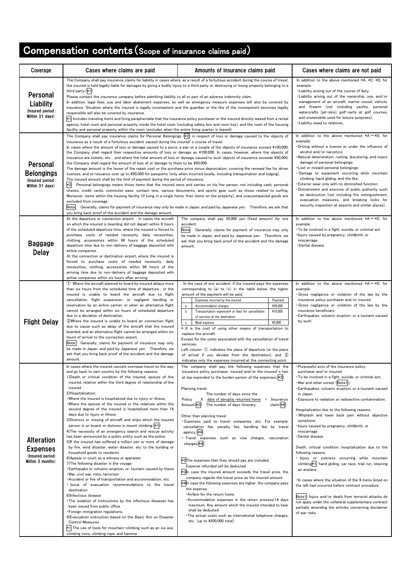# Compensation contents(Scope of insurance claims paid)

| Coverage                                                                     | Cases where claims are paid                                                                                                                                                                                                                                                                                                                                                                                                                                                                                                                                                                                                                                                                                                                                                                                                                                                                                                                                                                                                                                                                                                                                                                                                                                                                                                                                                                                                                                                                                                                                                                                                                                                                       | Amounts of insurance claims paid                                                                                                                                                                                                                                                                                                                                                                                                                                                                                                                                                                                                                                                                                                                                                                                                                                                                                                                                                                                                                                                                                                                                             | Cases where claims are not paid                                                                                                                                                                                                                                                                                                                                                                                                                                                                                                                                                                                                                                                                                                                                                                                                                                                                                                                                                                                  |
|------------------------------------------------------------------------------|---------------------------------------------------------------------------------------------------------------------------------------------------------------------------------------------------------------------------------------------------------------------------------------------------------------------------------------------------------------------------------------------------------------------------------------------------------------------------------------------------------------------------------------------------------------------------------------------------------------------------------------------------------------------------------------------------------------------------------------------------------------------------------------------------------------------------------------------------------------------------------------------------------------------------------------------------------------------------------------------------------------------------------------------------------------------------------------------------------------------------------------------------------------------------------------------------------------------------------------------------------------------------------------------------------------------------------------------------------------------------------------------------------------------------------------------------------------------------------------------------------------------------------------------------------------------------------------------------------------------------------------------------------------------------------------------------|------------------------------------------------------------------------------------------------------------------------------------------------------------------------------------------------------------------------------------------------------------------------------------------------------------------------------------------------------------------------------------------------------------------------------------------------------------------------------------------------------------------------------------------------------------------------------------------------------------------------------------------------------------------------------------------------------------------------------------------------------------------------------------------------------------------------------------------------------------------------------------------------------------------------------------------------------------------------------------------------------------------------------------------------------------------------------------------------------------------------------------------------------------------------------|------------------------------------------------------------------------------------------------------------------------------------------------------------------------------------------------------------------------------------------------------------------------------------------------------------------------------------------------------------------------------------------------------------------------------------------------------------------------------------------------------------------------------------------------------------------------------------------------------------------------------------------------------------------------------------------------------------------------------------------------------------------------------------------------------------------------------------------------------------------------------------------------------------------------------------------------------------------------------------------------------------------|
| Personal<br>Liability<br>(Insured period:<br>Within 31 days)                 | The Company shall pay insurance claims for liability in cases where, as a result of a fortuitous accident during the course of travel,<br>the insured is held legally liable for damages by giving a bodily injury to a third party or destroying or losing property belonging to a<br>third party.(*1)<br>Please contact the insurance company before admitting liability to all or part of an adverse indemnity claim.<br>In addition, legal fees, sue and labor abatement expenses, as well as emergency measure expenses will also be covered by<br>insurance. Situation where the insured is legally incompetent and the guardian or the like of the incompetent becomes legally<br>responsible will also be covered by insurance.<br>*1; Includes traveling items and living paraphernalia that the insurance policy purchaser or the insured directly leased from a rental<br>agency, hotel room and personal property inside the hotel room (including safety box and room key), and the room of the housing<br>facility and personal property within the room (excludes when the entire living quarter is leased).                                                                                                                                                                                                                                                                                                                                                                                                                                                                                                                                                                       | In addition to the above mentioned *A, *C, *D, for<br>example:<br>. Liability arising out of the course of duty<br>. Liability arising out of the ownership, use, and/or<br>management of an aircraft, marine vessel, vehicle,<br>and firearm (not including yachts, personal<br>watercrafts (jet-skis), golf-carts at golf courses,<br>and snowmobile used for leisure purposes);<br>. Liability owed to relatives.                                                                                                                                                                                                                                                                                                                                                                                                                                                                                                                                                                                                                                                                                                                                                         |                                                                                                                                                                                                                                                                                                                                                                                                                                                                                                                                                                                                                                                                                                                                                                                                                                                                                                                                                                                                                  |
| Personal<br><b>Belongings</b><br>(Insured period:<br>Within 31 days)         | The Company shall pay insurance claims for Personal Belongings (*2) in respect of loss or damage caused to the objects of<br>insurance as a result of a fortuitous accident caused during the insured's course of travel.<br>In cases where the amount of loss or damage caused to a piece, a pair or a couple of the objects of insurance exceed ¥100,000,<br>the Company shall regard their respective amounts of loss or damage as ¥100,000. In cases, however, where the objects of<br>insurance are tickets, etc., and where the total amount of loss or damage caused to such objects of insurance exceeds ¥50,000,<br>the Company shall regard the amount of loss of or damage to them to be ¥50,000.<br>The damage amount is the lesser of the repair cost or the purchase price minus depreciation, covering the renewal fee for driver<br>licenses, and re-issuance cost up to ¥50,000 for passports (only when incurred locally, including transportation and lodging).<br>The insured amount shall be the limit of payment during the period of insurance.<br>*2 Personal belongings means those items that the insured owns and carries on his/her person, not including cash, personal<br>checks, credit cards, commuter pass, contact lens, various documents, and sports gear such as those related to surfing.<br>Moreover, items within the housing facility (if living in a single home, then items on the property), and unaccompanied goods are<br>excluded from coverage.<br>Note:<br>Generally, claims for payment of insurance may only be made in Japan, and paid by Japanese yen. Therefore, we ask that<br>you bring back proof of the accident and the damage amount. | In addition to the above mentioned $*A \sim *D$ , for<br>example:<br>. Driving without a license or under the influence of<br>alcohol and/or narcotics:<br>Natural deterioration, rusting, discoloring, and insect<br>damage of personal belongings;<br>. Lost or mislaid personal belongings;<br>. Damage to equipment occurring while mountain<br>climbing, hand gliding, and the like;<br>Exterior wear only with no diminished function;<br>Distrainment and exercise of public authority such<br>as destruction (not including fire extinguishment,<br>evacuation measures, and breaking locks for<br>security inspection at airports and similar places).                                                                                                                                                                                                                                                                                                                                                                                                                                                                                                              |                                                                                                                                                                                                                                                                                                                                                                                                                                                                                                                                                                                                                                                                                                                                                                                                                                                                                                                                                                                                                  |
| <b>Baggage</b><br><b>Delay</b>                                               | At the departure or connection airport, in cases the aircraft<br>on which the insured is boarding did not depart within 6 hours<br>of the scheduled departure time, where the insured is forced to<br>purchase costs of needed necessity, daily necessities,<br>clothing, accessories within 96 hours of the scheduled<br>departure time due to non-delivery of baggage deposited with<br>airline companies.<br>At the connection or destination airport, where the insured is<br>forced to purchase costs of needed necessity, daily<br>necessities, clothing, accessories within 96 hours of the<br>arriving time due to non-delivery of baggage deposited with<br>airline companies within six hours after arriving.                                                                                                                                                                                                                                                                                                                                                                                                                                                                                                                                                                                                                                                                                                                                                                                                                                                                                                                                                                           | The company shall pay 30,000 yen (fixed amount) for one<br>accident.<br>Note: Generally, claims for payment of insurance may only<br>be made in Japan, and paid by Japanese yen. Therefore, we<br>ask that you bring back proof of the accident and the damage<br>amount.                                                                                                                                                                                                                                                                                                                                                                                                                                                                                                                                                                                                                                                                                                                                                                                                                                                                                                    | In addition to the above mentioned $*A \sim *D$ , for<br>example:<br>• To be involved in a fight, suicide, or criminal act<br>. Injury caused by pregnancy, childbirth, or<br>miscarriage<br>•Dental disease                                                                                                                                                                                                                                                                                                                                                                                                                                                                                                                                                                                                                                                                                                                                                                                                     |
| <b>Flight Delay</b>                                                          | (1) Where the aircraft planned to board by insured delays more<br>than six hours from the scheduled time of departure; or the<br>insured is unable to board the aircraft due to flight<br>cancellation, flight suspension, or negligent handling or<br>reservation by an airline carrier; or when an alternative flight<br>cannot be arranged within six hours of scheduled departure<br>due to a deviation of destination.<br>(2) Where the insured is unable to board an connection flight<br>due to cause such as delay of the aircraft that the insured<br>boarded, and an alternative flight cannot be arranged within six<br>hours of arrival to the connection airport.<br>Note: Generally, claims for payment of insurance may only<br>be made in Japan, and paid by Japanese yen. Therefore, we<br>ask that you bring back proof of the accident and the damage<br>amount.                                                                                                                                                                                                                                                                                                                                                                                                                                                                                                                                                                                                                                                                                                                                                                                                               | In the case of one accident, if the insured pays the expenses<br>corresponding to (a) to (c) in the table below, the higher<br>amount of the payment will be paid.<br>Expenses incurred by the insured<br>Payment<br>¥30,000<br>Accommodation charges<br>a<br>Transportation expenses* or fees for cancellation<br>¥10,000<br>of services at the destination<br>¥5.000<br>Meal expense<br>* It is the cost of using other means of transportation to<br>replace the aircraft.<br>Except for the costs associated with the cancellation of travel<br>services.<br>Left column (1) indicates the place of departure (or the place<br>of arrival if you deviate from the destination), and (2)<br>indicates only the expenses incurred at the connecting point.                                                                                                                                                                                                                                                                                                                                                                                                                 | In addition to the above mentioned $*A \sim *D$ , for<br>example:<br>Gross negligence or violation of the law by the<br>insurance policy purchaser and/or insured.<br>Gross negligence or violation of the law by the<br>insurance beneficiary<br>Earthquakes, volcanic eruption, or a tsunami caused<br>by such.                                                                                                                                                                                                                                                                                                                                                                                                                                                                                                                                                                                                                                                                                                |
| <b>Alteration</b><br><b>Expenses</b><br>(Insured period:<br>Within 3 months) | In cases where the insured cancels overseas travel on the wav<br>and go back to own country by the following reasons;<br>1) Death or critical condition of the insured, spouse of the<br>insured, relative within the third degree of relationship of the<br>insured<br>2)Hospitalization:<br>. Where the insured is hospitalized due to injury or illness,<br>. Where the spouse of the insured or the relatives within the<br>second degree of the insured is hospitalized more than 14<br>days due to injury or illness<br>3) Distress or missing of aircraft and ships which the insured<br>person is on board, or distress in mount climbing (*1)<br>4) The necessity of an emergency search and rescue activity<br>has been announced by a public entity such as the police<br>5) If the insured has suffered a million yen or more of damage<br>by fire, wind disaster, water disaster, etc to the building or<br>household goods to residents<br>6) Appear in court as a witness or appraiser<br>7) The following disaster in the voyage<br>. Earthquake or volcanic eruption, or, tsunami caused by these<br>•War, civil war, riots, terrorism<br>• Accident or fire of transportation and accommodation, etc.<br>. Issue of evacuation recommendations to the travel<br>destination<br>8) Infectious disease<br>• The isolation of instructions by the infectious diseases has<br>been issued from public office<br>· Foreign immigration regulations,<br>9) Evacuation instruction based on the Basic Act on Disaster<br><b>Control Measures</b><br>*1 The use of tools for mountain-climbing such as an ice axe,<br>climbing irons, climbing rope, and hammer                         | The company shall pay the following expenses that the<br>insurance policy purchaser, insured and/or the insured's heir<br>at law expended to the burden person of the expenses.(*2)<br>Planning travel<br>The number of days since the<br>X date of abruptly returned home = Insurance<br>Policy<br>claim(*4)<br>Amount(*3)<br>The number of days itinerary<br>Other than planning travel<br>· Expenses paid to travel companies, etc. For example,<br>cancellation fee, penalty fee, handling fee by travel<br>agency.(*4)<br>Travel expenses such as visa charges, vaccination<br>charges(*4)<br>*2The expenses that they should pay are included.<br>Expense refunded will be deducted<br>*3In case the insured amount exceeds the travel price, the<br>company regards the travel price as the insured amount.<br>*4In case the following expenses are higher, the company pays<br>the expense.<br>· Airfare for the return home<br>*Accommodation expenses in the return process(14 days<br>maximum. Any amount which the insured intended to bear<br>shall be deducted<br>· The actual costs such as international telephone charges,<br>etc. (up to $4200,000$ total) | . Purposeful acts of the insurance policy<br>purchaser and/or insured;<br>. To be involved in a fight, suicide, or criminal act;<br>. War and other unrest (Note1);<br>· Earthquakes, volcanic eruption, or a tsunami caused<br>in Japan<br>Exposure to radiation or radioactive contamination;<br>Hospitalization due to the following reasons<br>. Whiplash and lower back pain without objective<br>symptoms<br>·Injury caused by pregnancy, childbirth, or<br>miscarriage<br>•Dental disease<br>Death, critical condition, hospitalization due to the<br>following reasons<br>· Injury or sickness occurring while mountain<br>climbing*1, hand gliding, car race, trial run, steering<br>an airplane<br>In cases where the situation of the 9 items listed on<br>the left had occurred before contract procedure<br>Note1: Injury and/or death from terrorist attacks do<br>not apply under the collateral supplementary contract<br>partially amending the articles concerning disclaimer<br>of war risks. |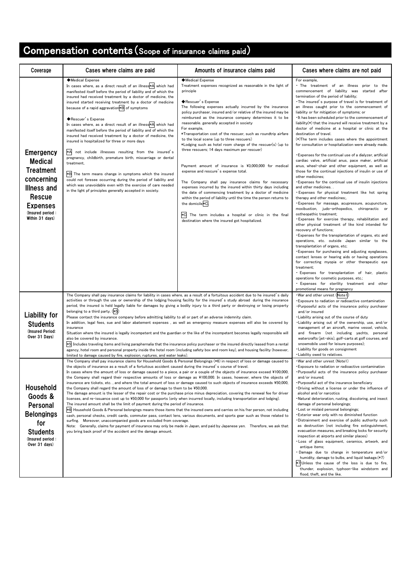# Compensation contents(Scope of insurance claims paid)

| Coverage                                                                                                                                                       | Cases where claims are paid                                                                                                                                                                                                                                                                                                                                                                                                                                                                                                                                                                                                                                                                                                                                                                                                                                                                                                                                                                                                                                                                                                                                                                                                                                                                                                                                                                                                                                                                                                                                                                                                      | Amounts of insurance claims paid                                                                                                                                                                                                                                                                                                                                                                                                                                                                                                                                                                                                                                                                                                                                                                                                                                                                                                                                                                                                                                                                   | Cases where claims are not paid                                                                                                                                                                                                                                                                                                                                                                                                                                                                                                                                                                                                                                                                                                                                                                                                                                                                                                                                                                                                                                                                                                                                                                                                                                                                                                                                                                                                                                                                                                                                                                                                                                                                                                                                                                                            |
|----------------------------------------------------------------------------------------------------------------------------------------------------------------|----------------------------------------------------------------------------------------------------------------------------------------------------------------------------------------------------------------------------------------------------------------------------------------------------------------------------------------------------------------------------------------------------------------------------------------------------------------------------------------------------------------------------------------------------------------------------------------------------------------------------------------------------------------------------------------------------------------------------------------------------------------------------------------------------------------------------------------------------------------------------------------------------------------------------------------------------------------------------------------------------------------------------------------------------------------------------------------------------------------------------------------------------------------------------------------------------------------------------------------------------------------------------------------------------------------------------------------------------------------------------------------------------------------------------------------------------------------------------------------------------------------------------------------------------------------------------------------------------------------------------------|----------------------------------------------------------------------------------------------------------------------------------------------------------------------------------------------------------------------------------------------------------------------------------------------------------------------------------------------------------------------------------------------------------------------------------------------------------------------------------------------------------------------------------------------------------------------------------------------------------------------------------------------------------------------------------------------------------------------------------------------------------------------------------------------------------------------------------------------------------------------------------------------------------------------------------------------------------------------------------------------------------------------------------------------------------------------------------------------------|----------------------------------------------------------------------------------------------------------------------------------------------------------------------------------------------------------------------------------------------------------------------------------------------------------------------------------------------------------------------------------------------------------------------------------------------------------------------------------------------------------------------------------------------------------------------------------------------------------------------------------------------------------------------------------------------------------------------------------------------------------------------------------------------------------------------------------------------------------------------------------------------------------------------------------------------------------------------------------------------------------------------------------------------------------------------------------------------------------------------------------------------------------------------------------------------------------------------------------------------------------------------------------------------------------------------------------------------------------------------------------------------------------------------------------------------------------------------------------------------------------------------------------------------------------------------------------------------------------------------------------------------------------------------------------------------------------------------------------------------------------------------------------------------------------------------------|
| <b>Emergency</b><br><b>Medical</b><br><b>Treatment</b><br>concerning<br>Illness and<br><b>Rescue</b><br><b>Expenses</b><br>(Insured period:<br>Within 31 days) | ◆Medical Expense<br>In cases where, as a direct result of an illness*A which had<br>manifested itself before the period of liability and of which the<br>insured had received treatment by a doctor of medicine, the<br>insured started receiving treatment by a doctor of medicine<br>because of a rapid aggravation*B of symptoms<br>◆Rescuer's Expense<br>In cases where, as a direct result of an illness*A which had<br>manifested itself before the period of liability and of which the<br>insured had received treatment by a doctor of medicine, the<br>insured is hospitalized for three or more days<br>∗A<br>not include illnesses resulting from the insured's<br>pregnancy, childbirth, premature birth, miscarriage or dental<br>treatment,<br>*B The term means change in symptoms which the insured<br>could not foresee occurring during the period of liability and<br>which was unavoidable even with the exercise of care needed<br>in the light pf principles generally accepted in society.                                                                                                                                                                                                                                                                                                                                                                                                                                                                                                                                                                                                               | ◆Medical Expense<br>Treatment expenses recognized as reasonable in the light of<br>principle<br>◆Rescuer's Expense<br>The following expenses actually incurred by the insurance<br>policy purchaser, insured and/or relative of the insured may be<br>reimbursed as the insurance company determines it to be<br>reasonable. generally accepted in society<br>For example,<br>*Transportation cost of the rescuer, such as roundtrip airfare<br>to the local scene (up to three rescuers)<br>*Lodging such as hotel room charge of the rescuer(s) (up to<br>three rescuers; 14 days maximum per rescuer)<br>Payment amount of insurance is ¥3,000,000 for medical<br>expense and rescure's expense total.<br>The Company shall pay insurance claims for necessary<br>expenses incurred by the insured within thirty days including<br>the date of commencing treatment by a doctor of medicine<br>within the period of liability until the time the person returns to<br>the domicile*C.<br>The term includes a hospital or clinic in the final<br>destination where the insured got hospitalized. | For example,<br>. The treatment of an illness prior to the<br>commencement of liability was started after<br>termination of the period of liability;<br>. The insured's purpose of travel is for treatment of<br>an illness caught prior to the commencement of<br>liability or for mitigation of symptoms; or<br>. It has been scheduled prior to the commencement of<br>liability(*) that the insured will receive treatment by a<br>doctor of medicine at a hospital or clinic at the<br>destination of travel.<br>(*) The term includes cases where the appointment<br>for consultation or hospitalization were already made.<br>. Expenses for the continual use of a dialyzer, artificial<br>cardiac valve, artificial anus, pace maker, artificial<br>anus, wheel-chair and other equipment, as well as<br>those for the continual injections of insulin or use of<br>other medicines;<br><b>Expenses for the continual use of insulin injections</b><br>and other medicines<br>. Expenses for physical treatment like hot spring<br>therapy and other medicines;<br>. Expenses for massage, acupressure, acupuncture,<br>moxibustion, judo-orthopedics, chiropractic or<br>ostheopathic treatment;<br>. Expenses for exercise therapy, rehabilitation and<br>other physical treatment of like kind intended for<br>recovery of functions;<br>. Expenses for the transplantation of organs, etc and<br>operations, etc. outside Japan similar to the<br>transplantation of organs, etc;<br>. Expenses for purchasing and adjusting eyeglasses,<br>contact lenses or hearing aids or having operations<br>for correcting myopia or other therapeutic eye<br>treatment;<br>. Expenses for transplantation of hair, plastic<br>operations for cosmetic purposes, etc.;<br>. Expenses for sterility treatment and other |
| <b>Liability for</b><br><b>Students</b><br>(Insured Period:<br>Over 31 Days)                                                                                   | The Company shall pay insurance claims for liability in cases where, as a result of a fortuitous accident due to he insured's daily<br>activities or through the use or ownership of the lodging/housing facility for the insured's study abroad during the insurance<br>period, the insured is held legally liable for damages by giving a bodily injury to a third party or destroying or losing property<br>belonging to a third party. (*5)<br>Please contact the insurance company before admitting liability to all or part of an adverse indemnity claim.<br>In addition, legal fees, sue and labor abatement expenses, as well as emergency measure expenses will also be covered by<br>insurance<br>Situation where the insured is legally incompetent and the guardian or the like of the incompetent becomes legally responsible will<br>also be covered by insurance.<br>*5. Includes traveling items and living paraphernalia that the insurance policy purchaser or the insured directly leased from a rental<br>agency, hotel room and personal property inside the hotel room (including safety box and room key), and housing facility (however,<br>limited to damage caused by fire, explosion, ruptures, and water leaks).                                                                                                                                                                                                                                                                                                                                                                                    |                                                                                                                                                                                                                                                                                                                                                                                                                                                                                                                                                                                                                                                                                                                                                                                                                                                                                                                                                                                                                                                                                                    | promotional means for pregnancy<br>. War and other unrest (Note1)<br>Exposure to radiation or radioactive contamination<br>·Purposeful acts of the insurance policy purchaser<br>and/or insured<br>. Liability arising out of the course of duty<br>. Liability arising out of the ownership, use, and/or<br>management of an aircraft, marine vessel, vehicle,<br>and firearm (not including yachts, personal<br>watercrafts (jet-skis), golf-carts at golf courses, and<br>snowmobile used for leisure purposes);<br>· Liability for goods on consignment<br>. Liability owed to relatives.                                                                                                                                                                                                                                                                                                                                                                                                                                                                                                                                                                                                                                                                                                                                                                                                                                                                                                                                                                                                                                                                                                                                                                                                                              |
| <b>Household</b><br>Goods &<br>Personal<br><b>Belongings</b><br>for<br><b>Students</b><br>(Insured period:<br>Over 31 days)                                    | The Company shall pay insurance claims for Household Goods & Personal Belongings (*6) in respect of loss or damage caused to<br>the objects of insurance as a result of a fortuitous accident caused during the insured's course of travel.<br>In cases where the amount of loss or damage caused to a piece, a pair or a couple of the objects of insurance exceed ¥100,000,<br>the Company shall regard their respective amounts of loss or damage as ¥100,000. In cases, however, where the objects of<br>insurance are tickets, etc., and where the total amount of loss or damage caused to such objects of insurance exceeds ¥50,000,<br>the Company shall regard the amount of loss of or damage to them to be ¥50,000.<br>The damage amount is the lesser of the repair cost or the purchase price minus depreciation, covering the renewal fee for driver<br>licenses, and re-issuance cost up to ¥50,000 for passports (only when incurred locally, including transportation and lodging).<br>The insured amount shall be the limit of payment during the period of insurance.<br>*6: Household Goods & Personal belongings means those items that the insured owns and carries on his/her person, not including<br>cash, personal checks, credit cards, commuter pass, contact lens, various documents, and sports gear such as those related to<br>surfing. Moreover, unaccompanied goods are excluded from coverage.<br>Note: Generally, claims for payment of insurance may only be made in Japan, and paid by Japanese yen. Therefore, we ask that<br>you bring back proof of the accident and the damage amount. |                                                                                                                                                                                                                                                                                                                                                                                                                                                                                                                                                                                                                                                                                                                                                                                                                                                                                                                                                                                                                                                                                                    | . War and other unrest (Note1)<br>· Exposure to radiation or radioactive contamination<br>Purposeful acts of the insurance policy purchaser<br>and/or insured;<br>Purposeful act of the insurance beneficiary<br>Driving without a license or under the influence of<br>alcohol and/or narcotics<br>Natural deterioration, rusting, discoloring, and insect<br>damage of personal belongings;<br>· Lost or mislaid personal belongings;<br>Exterior wear only with no diminished function<br>Distrainment and exercise of public authority such<br>as destruction (not including fire extinguishment,<br>evacuation measures, and breaking locks for security<br>inspection at airports and similar places)<br>. Loss of glass equipment, ceramics, artwork, and<br>antique items;<br>Damage due to change in temperature and/or<br>humidity, damage to bulbs, and liquid leakage.(*7)<br>*7:Unless the cause of the loss is due to fire,<br>thunder, explosion, typhoon-like windstorm and<br>flood, theft, and the like.                                                                                                                                                                                                                                                                                                                                                                                                                                                                                                                                                                                                                                                                                                                                                                                                 |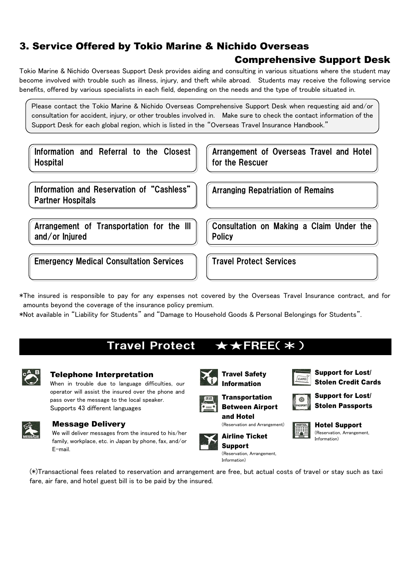### 3. Service Offered by Tokio Marine & Nichido Overseas

### Comprehensive Support Desk

Tokio Marine & Nichido Overseas Support Desk provides aiding and consulting in various situations where the student may become involved with trouble such as illness, injury, and theft while abroad. Students may receive the following service benefits, offered by various specialists in each field, depending on the needs and the type of trouble situated in.

Please contact the Tokio Marine & Nichido Overseas Comprehensive Support Desk when requesting aid and/or consultation for accident, injury, or other troubles involved in. Make sure to check the contact information of the Support Desk for each global region, which is listed in the "Overseas Travel Insurance Handbook."

Information and Referral to the Closest **Hospital** 

Arrangement of Overseas Travel and Hotel for the Rescuer

Consultation on Making a Claim Under the

Information and Reservation of "Cashless" Partner Hospitals

Arrangement of Transportation for the Ill and/or Injured

Emergency Medical Consultation Services Table Travel Protect Services

**Policy** 

Arranging Repatriation of Remains

\*The insured is responsible to pay for any expenses not covered by the Overseas Travel Insurance contract, and for amounts beyond the coverage of the insurance policy premium.

\*Not available in "Liability for Students" and "Damage to Household Goods & Personal Belongings for Students".

### Travel Protect ★★FREE(\*)



#### Telephone Interpretation

When in trouble due to language difficulties, our operator will assist the insured over the phone and pass over the message to the local speaker. Supports 43 different languages



#### Message Delivery

We will deliver messages from the insured to his/her family, workplace, etc. in Japan by phone, fax, and/or E-mail.





▓

Support for Lost/ Stolen Credit Cards

Support for Lost/ Stolen Passports

Hotel Support

**Transportation** Between Airport and Hotel

(Reservation and Arrangement)





Information)

(Reservation, Arrangement, Information)

(\*)Transactional fees related to reservation and arrangement are free, but actual costs of travel or stay such as taxi fare, air fare, and hotel guest bill is to be paid by the insured.